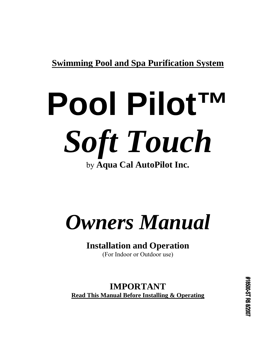**Swimming Pool and Spa Purification System**

# **Pool Pilot™**  *Soft Touch*  by **Aqua Cal AutoPilot Inc.**

# *Owners Manual*

# **Installation and Operation**

(For Indoor or Outdoor use)

**IMPORTANT Read This Manual Before Installing & Operating**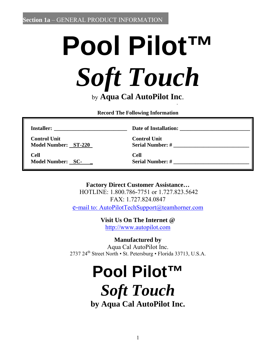# **Pool Pilot™**  *Soft Touch* by **Aqua Cal AutoPilot Inc**. **.**

**Record The Following Information** 

**Installer: \_\_\_\_\_\_\_\_\_\_\_\_\_\_\_\_\_\_\_\_\_\_\_\_\_\_\_ Date of Installation: \_\_\_\_\_\_\_\_\_\_\_\_\_\_\_\_\_\_\_\_\_\_\_\_\_\_** 

 **Control Unit Control Unit Model Number:** ST-220 Serial Number: #

 **Cell Cell Model Number:** SC- Serial Number: #

**Factory Direct Customer Assistance…** 

HOTLINE: 1.800.786-7751 or 1.727.823.5642 FAX: 1.727.824.0847 e-mail to: AutoPilotTechSupport@teamhorner.com

**Visit Us On The Internet @** 

http://www.autopilot.com

**Manufactured by** 

Aqua Cal AutoPilot Inc. 2737 24<sup>th</sup> Street North • St. Petersburg • Florida 33713, U.S.A.

# **Pool Pilot™**

*Soft Touch*

**by Aqua Cal AutoPilot Inc.**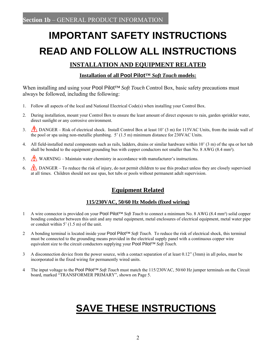# **IMPORTANT SAFETY INSTRUCTIONS READ AND FOLLOW ALL INSTRUCTIONS**

## **INSTALLATION AND EQUIPMENT RELATED**

### **Installation of all Pool Pilot™** *Soft Touch* **models:**

When installing and using your Pool Pilot<sup>™</sup> *Soft Touch* Control Box, basic safety precautions must always be followed, including the following:

- 1. Follow all aspects of the local and National Electrical Code(s) when installing your Control Box.
- 2. During installation, mount your Control Box to ensure the least amount of direct exposure to rain, garden sprinkler water, direct sunlight or any corrosive environment.
- 3. A DANGER Risk of electrical shock. Install Control Box at least 10' (3 m) for 115VAC Units, from the inside wall of the pool or spa using non-metallic plumbing.  $5'(1.5 \text{ m})$  minimum distance for 230VAC Units.
- 4. All field-installed metal components such as rails, ladders, drains or similar hardware within 10' (3 m) of the spa or hot tub shall be bonded to the equipment grounding bus with copper conductors not smaller than No. 8 AWG (8.4 mm²).
- 5.  $\sqrt{\sqrt{2}}$  WARNING Maintain water chemistry in accordance with manufacturer's instructions.
- 6.  $\sqrt{2}$  DANGER To reduce the risk of injury, do not permit children to use this product unless they are closely supervised at all times. Children should not use spas, hot tubs or pools without permanent adult supervision.

## **Equipment Related**

### **115/230VAC, 50/60 Hz Models (fixed wiring)**

- 1 A wire connector is provided on your Pool Pilot™ *Soft Touch* to connect a minimum No. 8 AWG (8.4 mm²) solid copper bonding conductor between this unit and any metal equipment, metal enclosures of electrical equipment, metal water pipe or conduit within 5' (1.5 m) of the unit.
- 2 A bonding terminal is located inside your Pool Pilot™ *Soft Touch*. To reduce the risk of electrical shock, this terminal must be connected to the grounding means provided in the electrical supply panel with a continuous copper wire equivalent size to the circuit conductors supplying your Pool Pilot™ *Soft Touch*.
- 3 A disconnection device from the power source, with a contact separation of at least 0.12" (3mm) in all poles, must be incorporated in the fixed wiring for permanently wired units.
- 4 The input voltage to the Pool Pilot™ *Soft Touch* must match the 115/230VAC, 50/60 Hz jumper terminals on the Circuit board, marked "TRANSFORMER PRIMARY", shown on Page 5.

# **SAVE THESE INSTRUCTIONS**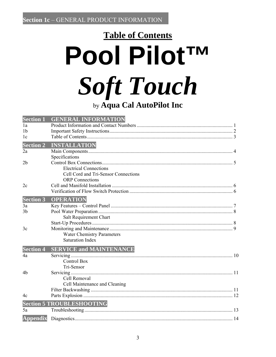# **Table of Contents Pool PilotTM Soft Touch** by Aqua Cal AutoPilot Inc

| <b>Section 1</b> | <b>GENERAL INFORMATION</b>           |  |
|------------------|--------------------------------------|--|
| 1a               |                                      |  |
| 1 <sub>b</sub>   |                                      |  |
| 1 <sub>c</sub>   |                                      |  |
| <b>Section 2</b> | <b>INSTALLATION</b>                  |  |
| 2a               |                                      |  |
|                  | Specifications                       |  |
| 2 <sub>b</sub>   |                                      |  |
|                  | <b>Electrical Connections</b>        |  |
|                  | Cell Cord and Tri-Sensor Connections |  |
|                  | <b>ORP</b> Connections               |  |
| 2c               |                                      |  |
|                  |                                      |  |
| <b>Section 3</b> | <b>OPERATION</b>                     |  |
| 3a               |                                      |  |
| 3 <sub>b</sub>   |                                      |  |
|                  | Salt Requirement Chart               |  |
|                  |                                      |  |
| 3c               |                                      |  |
|                  | <b>Water Chemistry Parameters</b>    |  |
|                  | <b>Saturation Index</b>              |  |
| <b>Section 4</b> |                                      |  |
|                  | <b>SERVICE and MAINTENANCE</b>       |  |
| 4a               |                                      |  |
|                  | <b>Control Box</b>                   |  |
|                  | Tri-Sensor                           |  |
| 4b               |                                      |  |
|                  | Cell Removal                         |  |
|                  | Cell Maintenance and Cleaning        |  |
|                  |                                      |  |
| 4c               |                                      |  |
|                  | <b>Section 5 TROUBLESHOOTING</b>     |  |
| 5a               |                                      |  |
| <b>Appendix</b>  |                                      |  |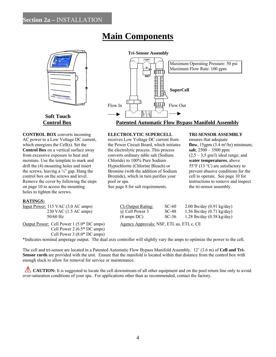# **Main Components**



# **Soft Touch**

**CONTROL BOX** converts incoming **ELECTROLYTIC SUPERCELL TRI-SENSOR ASSEMBLY** AC power to a Low Voltage DC current, receives Low Voltage DC current from ensures that adequate which energizes the Cell(s). Set the the Power Circuit Board, which initiates **flow**, 15gpm (3.4 m<sup>3</sup>/hr) minimum;<br> **Control Box** on a vertical surface away the electrolytic process. This process **salt**,  $2500 - 3500$  ppm **Control Box** on a vertical surface away the electrolytic process. This process from excessive exposure to heat and converts ordinary table salt (Sodium  $(2.5 - 3.5 \text{ gm/l})$  ideal range; and moisture. Use the template to mark and Chloride) to 100% Pure Sodium **water temperatures**, above drill the (4) mounting holes and insert Hypochlorite (Chlorine Bleach) or 55°F (13 °C) are satisfactory to the screws, leaving a  $\frac{1}{4}$  gap. Hang the Bromine (with the addition of Sodium prevent abusive conditions for the control box on the screws and level. Bromide), which in turn purifies your cell to operate. See page 10 for Remove the cover by following the steps pool or spa. instructions to remove and inspect on page 10 to access the mounting See page 8 for salt requirements. the tri-sensor assembly. holes to tighten the screws.

# **Tri-Sensor Assembly**  Maximum Operating Pressure: 50 psi Maximum Flow Rate: 100 gpm ள்ர **FILE**<br>BUBBE<br>BUBBE<br>BUBBER SuperCell Flow In The Flow Out **Property** Flow Out  **Control Box Patented Automatic Flow Bypass Manifold Assembly**

### **RATINGS:**

| Input Power: 115 VAC (3.0 AC amps)    |
|---------------------------------------|
| 230 VAC (1.5 AC amps)                 |
| $50/60$ Hz                            |
| Output Power: Cell Power 1 (5.0* DC a |

 Cell Power 2 (6.5\* DC amps) Cell Power 3 (8.0\* DC amps)  $\frac{\text{Cl}_2$  Output Rating: SC-60 2.00 lbs/day (0.91 kg/day)  $\overline{a}$  Cell Power 3 SC-48 1.56 lbs/day (0.71 kg/day)  $\omega$  Cell Power 3 SC-48 1.56 lbs/day (0.71 kg/day)  $(8 \text{ amps DC})$  SC-36 1.28 lbs/day  $(0.58 \text{ kg/day})$ 

 $A_{\text{gency}\xspace}$  Agency Approvals: NSF, ETL us, ETLc, CE

\*Indicates nominal amperage output. The dual axis controller will slightly vary the amps to optimize the power to the cell.

The cell and tri-sensor are located in a Patented Automatic Flow Bypass Manifold Assembly. 12' (3.6 m) of **Cell and Tri-Sensor cords** are provided with the unit. Ensure that the manifold is located within that distance from the control box with enough slack to allow for removal for service or maintenance.

**CAUTION:** It is suggested to locate the cell downstream of all other equipment and on the pool return line only to avoid over-saturation conditions of your spa. For applications other than as recommended, contact the factory.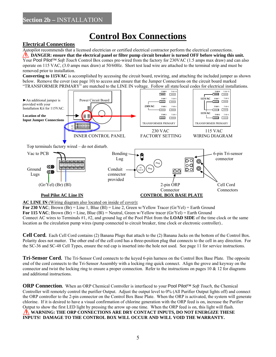# **Control Box Connections**

### **Electrical Connections**

Autopilot recommends that a licensed electrician or certified electrical contractor perform the electrical connections. **IDANGER:** ensure that the electrical panel or filter pump circuit breaker is turned OFF before wiring this unit. Your Pool Pilot™ *Soft Touch* Control Box comes pre-wired from the factory for 230VAC (1.5 amps max draw) and can also operate on 115 VAC, (3.0 amps max draw) at 50/60Hz. Short test lead wire are attached to the terminal strip and must be removed prior to installation.

**Converting to 115VAC** is accomplished by accessing the circuit board, rewiring, and attaching the included jumper as shown below. Remove the cover (see page 10) to access and ensure that the Jumper Connections on the circuit board marked "TRANSFORMER PRIMARY" are matched to the LINE IN voltage. Follow all state/local codes for electrical installations.



**AC LINE IN** (Wiring diagram also located on inside of cover)**:**

**For 230 VAC**; Brown  $(Br) =$  Line 1, Blue  $(Bl) =$  Line 2, Green w/Yellow Tracer  $(Gr/Ye) =$  Earth Ground **For 115 VAC**; Brown  $(Br) =$  Line, Blue  $(Bl)$  = Neutral, Green w/Yellow tracer  $(Gr/Yel)$  = Earth Ground Connect AC wires to Terminals #1, #2, and ground lug of the Pool Pilot from the **LOAD SIDE** of the time clock or the same location as the circulation pump wires (pump connected to circuit breaker, time clock or electronic controller)..

**Cell Cord.** Each Cell Cord contains (2) Banana Plugs that attach to the (2) Banana Jacks on the bottom of the Control Box. Polarity does not matter. The other end of the cell cord has a three-position plug that connects to the cell in any direction. For the SC-36 and SC-48 Cell Types, ensure the red cap is inserted into the hole not used. See page 11 for service instructions.

**Tri-Sensor Cord.** The Tri-Sensor Cord connects to the keyed 6-pin harness on the Control Box Base Plate. The opposite end of the cord connects to the Tri-Sensor Assembly with a locking ring quick connect. Align the grove and keyway on the connector and twist the locking ring to ensure a proper connection. Refer to the instructions on pages  $10 \& 12$  for diagrams and additional instructions.

**ORP Connection.** When an ORP Chemical Controller is interfaced to your Pool Pilot™ *Soft Touch*, the Chemical Controller will remotely control the purifier Output. Adjust the output level to 0% (All Purifier Output lights off) and connect the ORP controller to the 2-pin connector on the Control Box Base Plate. When the ORP is activated, the system will generate chlorine. If it is desired to have a visual confirmation of chlorine generation with the ORP feed is on, increase the Purifier Output to show the first LED light by pressing the arrow up one time. When the ORP feed is on, this light will flash.  **WARNING: THE ORP CONNECTIONS ARE DRY CONTACT INPUTS, DO NOT ENERGIZE THESE INPUTS! DAMAGE TO THE CONTROL BOX WILL OCCUR AND WILL VOID THE WARRANTY.**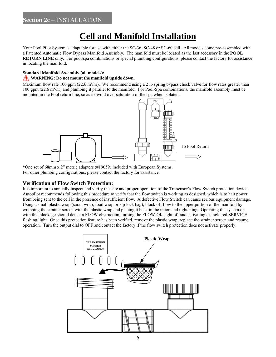# **Cell and Manifold Installation**

Your Pool Pilot System is adaptable for use with either the SC-36, SC-48 or SC-60 cell. All models come pre-assembled with a Patented Automatic Flow Bypass Manifold Assembly. The manifold must be located as the last accessory in the **POOL RETURN LINE** only. For pool/spa combinations or special plumbing configurations, please contact the factory for assistance in locating the manifold.

### **Standard Manifold Assembly (all models):**

### **WARNING:** Do not mount the manifold upside down.

Maximum flow rate 100 gpm (22.6 m<sup>3</sup>/hr). We recommend using a 2 lb spring bypass check valve for flow rates greater than 100 gpm (22.6 m<sup>3</sup>/hr) and plumbing it parallel to the manifold. For Pool-Spa combinations, the manifold assembly must be mounted in the Pool return line, so as to avoid over saturation of the spa when isolated.



\*One set of 68mm x 2" metric adapters (#19059) included with European Systems. For other plumbing configurations, please contact the factory for assistance.

### **Verification of Flow Switch Protection:**

It is important to annually inspect and verify the safe and proper operation of the Tri-sensor's Flow Switch protection device. Autopilot recommends following this procedure to verify that the flow switch is working as designed, which is to halt power from being sent to the cell in the presence of insufficient flow. A defective Flow Switch can cause serious equipment damage. Using a small plastic wrap (saran wrap, food wrap or zip lock bag), block off flow to the upper portion of the manifold by wrapping the strainer screen with the plastic wrap and placing it back in the union and tightening. Operating the system on with this blockage should detect a FLOW obstruction, turning the FLOW-OK light off and activating a single red SERVICE flashing light. Once this protection feature has been verified, remove the plastic wrap, replace the strainer screen and resume operation. Turn the output dial to OFF and contact the factory if the flow switch protection does not activate properly.

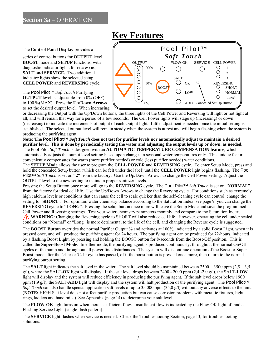## **Key Features**

to 100 %(MAX). Press the **Up/Down Arrows**  $\sqrt{0.06 \pm 0.000}$ to set the desired output level. When increasing



or decreasing the Output with the Up/Down buttons, the three lights of the Cell Power and Reversing will light or not light at all, and will remain that way for a period of a few seconds. The Cell Power lights will stage up (increasing) or down (decreasing) to indicate the increments of output of each Output light. Little adjustment is needed once the initial setting is established. The selected output level will remain steady when the system is at rest and will begin flashing when the system is producing the purifying agent.

**Note: The Pool Pilot™** *Soft Touch* **does not test for purifier levels nor automatically adjust to maintain a desired purifier level. This is done by periodically testing the water and adjusting the output levels up or down, as needed.**  The Pool Pilot *Soft Touch* is designed with an **AUTOMATIC TEMPERATURE COMPENSATION feature**, which automatically adjusts the output level setting based upon changes in seasonal water temperatures only. This unique feature conveniently compensates for warm (more purifier needed) or cold (less purifier needed) water conditions.

The **SETUP Mode** allows the user to program the **CELL POWER** and **REVERSING** cycle. To enter Setup Mode, press and hold the concealed Setup button (which can be felt under the label) until the **CELL POWER** light begins flashing. The Pool Pilot™ *Soft Touch* is set on **"2"** from the factory. Use the Up/Down Arrows to change the Cell Power setting. Adjust the OUTPUT level to the new setting to maintain proper sanitizer levels.

Pressing the Setup Button once more will go to the **REVERSING** cycle. The Pool Pilot™ *Soft Touch* is set on "**NORMAL**" from the factory for ideal cell life. Use the Up/Down Arrows to change the Reversing cycle. For conditions such as extremely high calcium levels or conditions that can cause the cell to scale quicker than the self-cleaning cycle can control, change the setting to "**SHORT**". For optimum water chemistry balance according to the Saturation Index, see page 9, you can change the REVERSING cycle to "**LONG**". Pressing the setup button once more will leave the Setup Mode and save the programmed Cell Power and Reversing settings. Test your water chemistry parameters monthly and compare to the Saturation Index. WARNING: Changing the Reversing cycle to SHORT will also reduce cell life. However, operating the cell under scaled conditions on "Normal" or "Long" is more detrimental to the life of the cell, and changing the Reverse cycle is suggested.

The **BOOST Button** overrides the normal Purifier Output % and activates at 100%, indicated by a solid Boost Light, when it is pressed once, and will produce the purifying agent for 24 hours. The purifying agent can be produced for 72-hours, indicated by a flashing Boost Light, by pressing and holding the BOOST button for 8-seconds from the Boost-Off position. This is called the **Super-Boost Mode**. In either mode, the purifying agent is produced continuously, throughout the normal On/Off cycles of the pump and throughout all power line disturbances. The system will discontinue operation of the Boost or Super Boost mode after the 24-hr or 72-hr cycle has passed, of if the boost button is pressed once more, then return to the normal purifying output setting.

The **SALT** light indicates the salt level in the water. The salt level should be maintained between  $2500 - 3500$  ppm  $(2.5 - 3.500)$ g/l), where the SALT-**OK** light will display. If the salt level drops between 2400 - 2000 ppm (2,4 -2,0 g/l), the SALT-**LOW** light will display and the system will reduce efficiency in producing the purifying agent. If the salt level drops below 1900 ppm (1,9 g/l), the SALT-**ADD** light will display and the system will halt production of the purifying agent. The Pool Pilot™ *Soft Touch* can also handle special application salt levels of up to 35,000 ppm (35,0 g/l) without any adverse effects to the unit. (**NOTE:** HIGH Salt level does not affect purifier production but can cause corrosion problems with metallic fixtures, light rings, ladders and hand rails.) See Appendix (page 14) to determine your salt level.

The **FLOW-OK** light turns on when there is sufficient flow. Insufficient flow is indicated by the Flow-OK light off and a Flashing Service Light (single flash pattern).

The **SERVICE** light flashes when service is needed. Check the Troubleshooting Section, page 13, for troubleshooting solutions.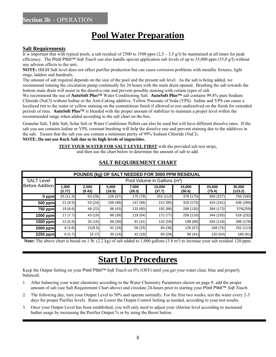# **Pool Water Preparation**

### **Salt Requirements**

It is important that with typical pools, a salt residual of 2500 to 3500 ppm  $(2,5 - 3,5 \text{ g/l})$  be maintained at all times for peak efficiency. The Pool Pilot™ *Soft Touch* can also handle special application salt levels of up to 35,000 ppm (35,0 g/l) without any adverse effects to the unit.

**NOTE:** HIGH Salt level does not affect purifier production but can cause corrosion problems with metallic fixtures, light rings, ladders and handrails.

The amount of salt required depends on the size of the pool and the present salt level. As the salt is being added, we recommend running the circulation pump continually for 24 hours with the main drain opened. Brushing the salt towards the bottom main drain will assist in the dissolve rate and prevent possible staining with certain types of salt.

We recommend the use of **AutoSoft Plus™** Water Conditioning Salt. **AutoSoft Plus™** salt contains 99.8% pure Sodium Chloride (NaCl) without Iodine or the Anti-Caking additive, Yellow Prussiate of Soda (YPS). Iodine and YPS can cause a localized tint to the water or yellow staining on the cementitious finish if allowed to rest undissolved on the finish for extended periods of time. **AutoSoft Plus™** is blended with the proper amount of stabilizer to maintain a proper level within the recommended range when added according to the salt chart on the box.

Granular Salt, Table Salt, Solar Salt or Water Conditioner Pellets can also be used but will have different dissolve rates. If the salt you use contains Iodine or YPS, constant brushing will help the dissolve rate and prevent staining due to the additives in the salt. Ensure that the salt you use contain a minimum purity of 99% Sodium Chloride (NaCl).

### **NOTE: Do not use Rock Salt due to its high levels of impurities.**

**TEST YOUR WATER FOR SALT LEVEL FIRST** with the provided salt test strips,

and then use the chart below to determine the amount of salt to add.

| POUNDS (kg) OF SALT NEEDED FOR 3000 PPM RESIDUAL |                                          |                 |                 |                 |                  |                  |                  |                   |
|--------------------------------------------------|------------------------------------------|-----------------|-----------------|-----------------|------------------|------------------|------------------|-------------------|
| <b>SALT Level</b>                                | Pool Volume in Gallons (m <sup>3</sup> ) |                 |                 |                 |                  |                  |                  |                   |
| Before Addition                                  | 1,000<br>(3.77)                          | 2.500<br>(9.43) | 5.000<br>(18.9) | 7.000<br>(28.3) | 10.000<br>(37.7) | 15.000<br>(56.6) | 20,000<br>(75.4) | 30,000<br>(123.2) |
| 0 ppm                                            | 25(11.3)                                 | 63(28)          | 126(57)         | 175 (79)        | 252 (113)        | 378 (170)        | 504 (227)        | 756 (340)         |
| 500 ppm                                          | 21(9.5)                                  | 53(24)          | 106(48)         | 147 (66)        | 212(95)          | 318 (175)        | 424 (191)        | 636 (286)         |
| 750 ppm                                          | 19(8.6)                                  | 48 (22)         | 96 (43)         | 133 (60)        | 192 (86)         | 288 (130)        | 384 (173)        | 576(259)          |
| 1000 ppm                                         | 17(7.7)                                  | 43 (19)         | 86 (39)         | 119 (54)        | 172(77)          | 258 (116)        | 344 (155)        | 516 (232)         |
| 1500 ppm                                         | 13(5.9)                                  | 33(15)          | 66 (30)         | 91(41)          | 132(59)          | 198 (89)         | 264 (119)        | 396 (178)         |
| 2000 ppm                                         | 8(3.6)                                   | 21(9.5)         | 42 (19)         | 56 (25)         | 84(38)           | 126 (57)         | 168 (76)         | 252 (113)         |
| 2250 ppm                                         | 6(2.7)                                   | 15(7)           | 30(14)          | 42 (19)         | 60(28)           | 90(41)           | 120 (54)         | 180 (81)          |

### **SALT REQUIREMENT CHART**

**Note:** The above chart is based on 1 lb.  $(2.2 \text{ kg})$  of salt added to 1,000 gallons  $(3.8 \text{ m}^3)$  to increase your salt residual 120-ppm.

# **Start Up Procedures**

Keep the Output Setting on your Pool Pilot™ *Soft Touch* on 0% (OFF) until you get your water clear, blue and properly balanced.

- 1. After balancing your water chemistry according to the Water Chemistry Parameters shown on page 9, add the proper amount of salt (see Salt Requirement Chart above) and circulate 24-hours prior to starting your Pool Pilot™ *Soft Touch*.
- 2. The following day, turn your Output Level to 50% and operate normally. For the first two weeks, test the water every 2-3 days for proper Purifier levels. Raise or Lower the Output Control Setting as needed, according to your test results.
- 3. Once your Output Level has been established, you will only need to adjust your chlorine level according to increased bather usage by increasing the Purifier Output % or by using the Boost button.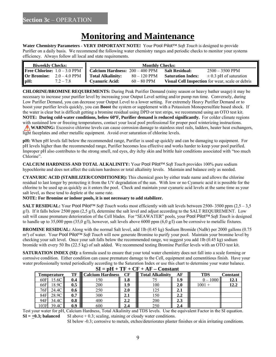## **Monitoring and Maintenance**

**Water Chemistry Parameters** - **VERY IMPORTANT NOTE!** Your Pool Pilot™ *Soft Touch* is designed to provide Purifier on a daily basis. We recommend the following water chemistry ranges and periodic checks to monitor your systems efficiency. Always follow all local and state requirements.

| Calcium Hardness: 200 - 400 PPM Salt Residual:<br>$2500 - 3500$ PPM<br><b>Total Alkalinity:</b><br>$80 - 120$ PPM<br><b>Saturation Index:</b><br>$\pm$ 0.3 pH of saturation<br>$\parallel$ Cyanuric Acid:<br>Visual Cell Inspection for wear, scale or debris<br>$72 - 78$<br>$60 - 80$ PPM | <b>Biweekly Checks:</b>               | <b>Monthly Checks:</b> |  |  |  |  |
|---------------------------------------------------------------------------------------------------------------------------------------------------------------------------------------------------------------------------------------------------------------------------------------------|---------------------------------------|------------------------|--|--|--|--|
|                                                                                                                                                                                                                                                                                             | <b>Free Chlorine:</b> $1.0 - 3.0$ PPM |                        |  |  |  |  |
|                                                                                                                                                                                                                                                                                             | <b>Or Bromine:</b> $2.0 - 4.0$ PPM    |                        |  |  |  |  |
|                                                                                                                                                                                                                                                                                             | $\parallel$ pH:                       |                        |  |  |  |  |

**CHLORINE/BROMINE REQUIREMENTS:** During Peak Purifier Demand (rainy season or heavy bather usage) it may be necessary to increase your purifier level by increasing your Output Level setting and/or pump run time. Conversely, during Low Purifier Demand, you can decrease your Output Level to a lower setting. For extremely Heavy Purifier Demand or to boost your purifier levels quickly, you can **Boost** the system or supplement with a Potassium Monopersulfate based shock. If the water is clear but is difficult getting a bromine residual using DPD or test strips, we recommend using an OTO test kit. **NOTE:** During cold-water conditions, below 60°F, Purifier demand is reduced significantly. For colder climate regions with sustained low or freezing temperatures, contact your local pool professional for proper pool winterizing instructions. **WARNING:** Excessive chlorine levels can cause corrosion damage to stainless steel rails, ladders, heater heat exchangers, light faceplates and other metallic equipment. Avoid over saturation of chlorine levels.

**pH:** When pH levels fall below the recommended range, Purifier is used up quickly and can be damaging to equipment. For pH levels higher than the recommended range, Purifier becomes less effective and works harder to keep your pool purified. Improper pH also contributes to the strong smell, red eyes, dry itchy skin and brittle hair conditions associated with "too much Chlorine".

**CALCIUM HARDNESS AND TOTAL ALKALINITY:** Your Pool Pilot™ *Soft Touch* provides 100% pure sodium hypochlorite and does not affect the calcium hardness or total alkalinity levels. Maintain and balance only as needed.

**CYANURIC ACID (STABILIZER/CONDITIONER):** This chemical goes by either trade name and allows the chlorine residual to last longer by protecting it from the UV degradation of the sun. With low or no Cyanuric acid it is possible for the chlorine to be used up as quickly as it enters the pool. Check and maintain your cyanuric acid levels at the same time as your salt level, as these tend to deplete at the same rate.

### **NOTE: For Bromine or indoor pools, it is not necessary to add stabilizer.**

**SALT RESIDUAL:** Your Pool Pilot™ *Soft Touch* works most efficiently with salt levels between 2500- 3500 ppm (2,5 – 3,5 g/l). If it falls below 2500 ppm  $(2.5 \text{ g/l})$ , determine the salt level and adjust according to the SALT REQUIREMENT. Low salt will cause premature deterioration of the Cell blades. For "SEAWATER" pools, your Pool Pilot™ *Soft Touch* is designed to handle up to 35,000 ppm (35,0  $g/l$ ), however, salt levels above 6000 ppm (6,0  $g/l$ ) can be corrosive to metallic fixtures.

**BROMINE RESIDUAL:** Along with the normal Salt level, add 1lb (0.45 kg) Sodium Bromide (NaBr) per 2000 gallons (0.75 m³) of water. Your Pool Pilot™ *Soft Touch* will now generate Bromine to purify your pool. Maintain your bromine level by checking your salt level. Once your salt falls below the recommended range, we suggest you add 1lb (0.45 kg) sodium bromide with every 50 lbs (22.5 kg) of salt added. We recommend testing Bromine Purifier levels with an OTO test kit.

**SATURATION INDEX (SI):** a formula used to ensure that your total water chemistry does not fall into a scale forming or corrosive condition. Either condition can cause premature damage to the Cell, equipment and cementitious finish. Have your water professionally tested periodically according to the Saturation Index or use this chart to determine your water balance.

|      | $U = U + I + U + U + I + I =$<br>Constant                 |                    |                               |      |     |          |            |      |
|------|-----------------------------------------------------------|--------------------|-------------------------------|------|-----|----------|------------|------|
|      | <b>Calcium Hardness</b><br>TF<br>CF<br><b>Temperature</b> |                    | <b>Total Alkalinity</b><br>AF |      | TDS | Constant |            |      |
|      | 5.6C<br>60F                                               | 0.4                | 50ء                           | 1.ð  |     | 1.9      | $0 - 1000$ | 12.1 |
| 66F  | 18.9C                                                     | 0.5                | 200                           | 1.9  | 100 | 2.0      | $1001 +$   | 12.2 |
|      | 24.4C<br>76F)                                             | 0.6                | 250                           | 2.0  | 125 | 2.1      |            |      |
| 84F' | 28.9C                                                     | $0.7\,$            | 300                           | 2. I | .50 | 2.2      |            |      |
| 94F  | 34.4C                                                     | $\boldsymbol{0.8}$ | 400                           | 2.2  | 200 | 2.3      |            |      |
| 103F | 30                                                        | 0.9                | 600                           |      | 250 | 2.4      |            |      |

 $SI = pH + TF + CF + AF - Constant$ 

Test your water for pH, Calcium Hardness, Total Alkalinity and TDS levels. Use the equivalent Factor in the SI equation.  $SI = +0.3$ ; balanced SI above  $+ 0.3$ ; scaling, staining or cloudy water conditions.

SI below -0.3; corrosive to metals, etches/deteriorates plaster finishes or skin irritating conditions.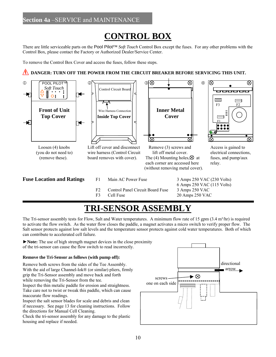# **CONTROL BOX**

There are little serviceable parts on the Pool Pilot™ *Soft Touch* Control Box except the fuses. For any other problems with the Control Box, please contact the Factory or Authorized Dealer/Service Center.

To remove the Control Box Cover and access the fuses, follow these steps.

### **IN DANGER: TURN OFF THE POWER FROM THE CIRCUIT BREAKER BEFORE SERVICING THIS UNIT.**



# **TRI-SENSOR ASSEMBLY**

The Tri-sensor assembly tests for Flow, Salt and Water temperatures. A minimum flow rate of 15 gpm  $(3.4 \text{ m}^3/\text{hr})$  is required to activate the flow switch. As the water flow closes the paddle, a magnet activates a micro switch to verify proper flow. The Salt sensor protects against low salt levels and the temperature sensor protects against cold water temperatures. Both of which can contribute to accelerated cell failure.

►**Note:** The use of high strength magnet devices in the close proximity of the tri-sensor can cause the flow switch to read incorrectly.

### **Remove the Tri-Sensor as follows (with pump off):**

Remove both screws from the sides of the Tee Assembly. With the aid of large Channel-lok® (or similar) pliers, firmly grip the Tri-Sensor assembly and move back and forth while removing the Tri-Sensor from the tee.

Inspect the thin metalic paddle for erosion and straightness. Take care not to twist or tweak this paddle, which can cause inaccurate flow readings.

Inspect the salt sensor blades for scale and debris and clean if necessary. See page 13 for cleaning instructions. Follow the directions for Manual Cell Cleaning.

Check the tri-sensor assembly for any damage to the plastic housing and replace if needed.

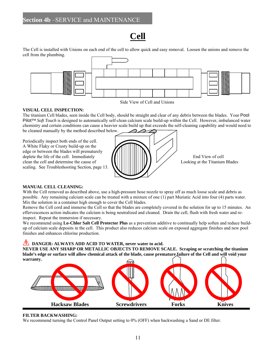# **Cell**

The Cell is installed with Unions on each end of the cell to allow quick and easy removal. Loosen the unions and remove the cell from the plumbing.



Side View of Cell and Unions

### **VISUAL CELL INSPECTION:**

The titanium Cell blades, seen inside the Cell body, should be straight and clear of any debris between the blades. Your Pool Pilot™ *Soft Touch* is designed to automatically self-clean calcium scale build-up within the Cell. However, imbalanced water chemistry and certain conditions can cause a heavier scale build up that exceeds the self-cleaning capability and would need to be cleaned manually by the method described below.

Periodically inspect both ends of the cell. A White Flaky or Crusty build-up on the edge or between the blades will prematurely scaling. See Troubleshooting Section, page 13.



### **MANUAL CELL CLEANING:**

With the Cell removed as described above, use a high-pressure hose nozzle to spray off as much loose scale and debris as possible. Any remaining calcium scale can be treated with a mixture of one (1) part Muriatic Acid into four (4) parts water. Mix the solution in a container high enough to cover the Cell blades.

Remove the Cell cord and immerse the Cell so that the blades are completely covered in the solution for up to 15 minutes. An effervescences action indicates the calcium is being neutralized and cleaned. Drain the cell, flush with fresh water and reinspect. Repeat the immersion if necessary.

We recommend using **Lo-Chlor Salt Cell Protector Plus** as a prevention additive to continually help soften and reduce buildup of calcium scale deposits in the cell. This product also reduces calcium scale on exposed aggregate finishes and new pool finishes and enhances chlorine production.

**DANGER: ALWAYS ADD ACID TO WATER, never water to acid.** 

**NEVER USE ANY SHARP OR METALLIC OBJECTS TO REMOVE SCALE. Scraping or scratching the titanium blade's edge or surface will allow chemical attack of the blade, cause premature failure of the Cell and will void your warranty.** 



### **FILTER BACKWASHING:**

We recommend turning the Control Panel Output setting to 0% (OFF) when backwashing a Sand or DE filter.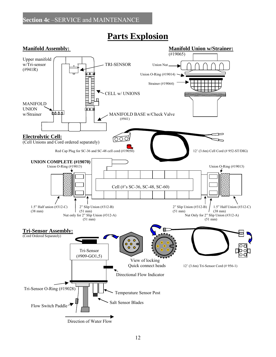

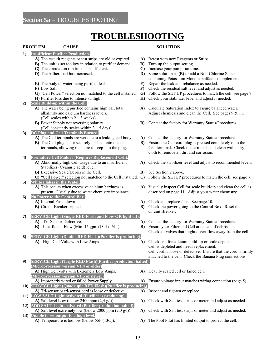# **TROUBLESHOOTING**

### **PROBLEM CAUSE SOLUTION**

- 1) **Insufficient Purifier Production.**
	-
	- **B)** The unit is set too low in relation to purifier demand. **B)** Turn up the output setting.
	-
	-
	-
	-
	-
	-
- **2) Scale Build-up within the Cell.**
	- (Cell scales within  $2 3$  weeks)
	-
	- (Cell constantly scales within  $3 5$  days)
- **3) DC Plug and Cell Terminals Burned.** 
	-
	-
- **4) Premature Cell Failure (Requires Replacement Cell).**
	- Stabilizer (Cyanuric acid) level.
	- **B**) Excessive Scale/Debris in the Cell. **B** See Section 2 above.
	-
- 
- **5)** White Flakes in the Water.<br>**A)** This occurs when excessive calcium hardness is
- **6) No Power to the Control Box.**
	- -
- **7) SERVICE Light (Single RED Flash and Flow-OK light off).**
	-
	- **B**) Insufficient Flow (Min. 15 gpm) (3.4 m<sup>3</sup>/hr) **B**) Ensure your Filter and Cell are clean of debris.
- **8) SERVICE Light (Double RED Flash)(Purifier is producing). A)** High Cell Volts with Low Amps **A)** Check cell for calcium build-up or scale deposits.
- **9) SERVICE Light (Triple RED Flash)(Purifier production halted). (Microprocessor version V1.4 or older) A)** High Cell volts with Extremely Low Amps. **A)** Heavily scaled cell or failed cell.
- **(Microprocessor version V1.5 or newer)**
- **10) SERVICE Light (Quadruple RED Flash)(Purifier is producing). A)** Tri-sensor or tri-sensor cord is loose or defective. **A)** Inspect and tighten or replace.
- **11) LOW SALT Light activated (Purifier is producing) .**
- **12) ADD SALT Light activated (Purifier production halted).**
- **13) Unable to set output to a high level.**

- **A)** The test kit reagents or test strips are old or expired. **A)** Retest with new Reagents or Strips.
	-
- **C)** The circulation run time is insufficient. **C)** Increase your pump run time.
- **D**) The bather load has increased. **D**) Same solution as **(B)** or add a Non-Chlorine Shock containing Potassium Monopersulfate to supplement.
- **E)** The body of water being purified leaks. **E)** Repair the leak and rebalance as needed.
- **F)** Low Salt. **F)** Check the residual salt level and adjust as needed.
- **G)** "Cell Power" selection not matched to the cell installed. **G)** Follow the SET UP procedures to match the cell, see page 7.
- **H)** Purifier loss due to intense sunlight **H**) Check your stabilizer level and adjust if needed.
- **A)** The water being purified contains high pH, total **A)** Calculate Saturation Index to assure balanced water. alkalinity and calcium hardness levels. Adjust chemicals and clean the Cell. See pages 9 & 11.
- **B)** Power Supply not reversing polarity. **B)** Contact the factory for Warranty Status/Procedures.
- **A)** The Cell terminals are wet due to a leaking cell body. **A)** Contact the factory for Warranty Status/Procedures.
- **B)** The Cell plug is not securely pushed onto the cell **B)** Ensure the Cell cord plug is pressed completely onto the terminals, allowing moisture to seep into the plug. Cell terminal. Check the terminals and clean with a dry cloth to remove all dirt and corrosion.
- **A)** Abnormally high Cell usage due to an insufficient **A)** Check the stabilizer level and adjust to recommended levels.
	-
- **C)** "Cell Power" selection not matched to the Cell installed. **C)** Follow the SETUP procedures to match the cell, see page 7.
	- A) Visually inspect Cell for scale build-up and clean the cell as present. Usually due to water chemistry imbalance. described on page 11. Adjust your water chemistry.
- **A)** Internal Fuse blown. **A)** Check and replace fuse. See page 10.
- **B**) Circuit Breaker tripped. **B** Check the power going to the Control Box. Reset the Circuit Breaker.
- **A)** Tri-Sensor Defective. **A)** Contact the factory for Warranty Status/Procedures.

Check all valves that might divert flow away from the cell.

- Cell is depleted and needs replacement. Cell cord is loose or defective. Ensure that the cord is firmly attached to the cell. Check the Banana Plug connections.
- 
- **A)** Improperly wired or failed Power Supply. **A)** Ensure voltage input matches wiring connection (page 5).
	-
- **A)** Salt level Low (below 2400 ppm (2,4 g/l)). **A)** Check with Salt test strips or meter and adjust as needed.
- **A)** Salt level extremely low (below 2000 ppm (2,0 g/l)). **A)** Check with Salt test strips or meter and adjust as needed.
- **A)** Temperature is too low (below 55F (13C)). **A)** The Pool Pilot has limited output to protect the cell.